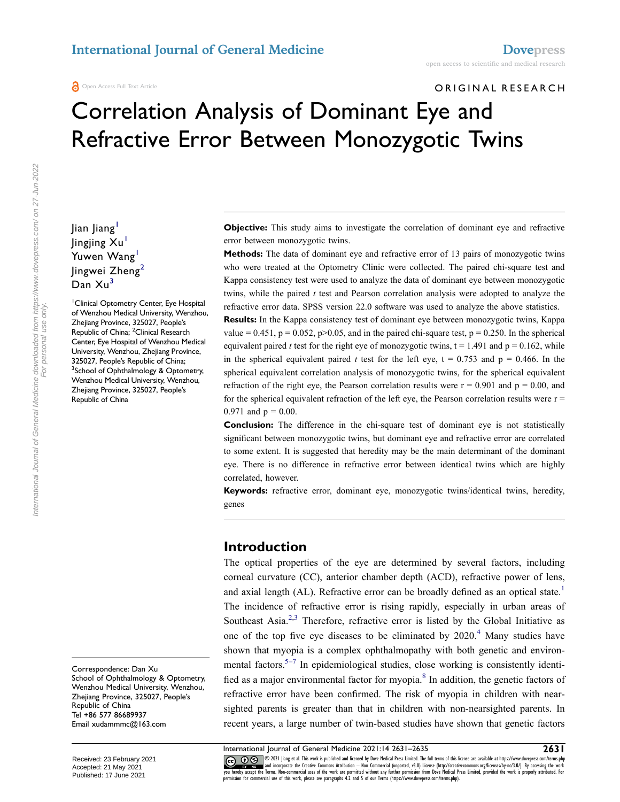ORIGINAL RESEARCH

# Correlation Analysis of Dominant Eye and Refractive Error Between Monozygotic Twins

Jian Jiang<sup>[1](#page-0-0)</sup> Jingjing  $Xu<sup>1</sup>$ Yuwen Wang Jingwei Zheng<sup>[2](#page-0-1)</sup> Dan Xu<sup>[3](#page-0-2)</sup>

<span id="page-0-2"></span><span id="page-0-1"></span><span id="page-0-0"></span>1 Clinical Optometry Center, Eye Hospital of Wenzhou Medical University, Wenzhou, Zhejiang Province, 325027, People's Republic of China; <sup>2</sup>Clinical Research Center, Eye Hospital of Wenzhou Medical University, Wenzhou, Zhejiang Province, 325027, People's Republic of China; <sup>3</sup>School of Ophthalmology & Optometry, Wenzhou Medical University, Wenzhou, Zhejiang Province, 325027, People's Republic of China

Correspondence: Dan Xu School of Ophthalmology & Optometry, Wenzhou Medical University, Wenzhou, Zhejiang Province, 325027, People's Republic of China Tel +86 577 86689937 Email [xudammmc@163.com](mailto:xudammmc@163.com)

**Objective:** This study aims to investigate the correlation of dominant eye and refractive error between monozygotic twins.

**Methods:** The data of dominant eye and refractive error of 13 pairs of monozygotic twins who were treated at the Optometry Clinic were collected. The paired chi-square test and Kappa consistency test were used to analyze the data of dominant eye between monozygotic twins, while the paired *t* test and Pearson correlation analysis were adopted to analyze the refractive error data. SPSS version 22.0 software was used to analyze the above statistics.

**Results:** In the Kappa consistency test of dominant eye between monozygotic twins, Kappa value =  $0.451$ , p =  $0.052$ , p >  $0.05$ , and in the paired chi-square test, p =  $0.250$ . In the spherical equivalent paired *t* test for the right eye of monozygotic twins,  $t = 1.491$  and  $p = 0.162$ , while in the spherical equivalent paired *t* test for the left eye,  $t = 0.753$  and  $p = 0.466$ . In the spherical equivalent correlation analysis of monozygotic twins, for the spherical equivalent refraction of the right eye, the Pearson correlation results were  $r = 0.901$  and  $p = 0.00$ , and for the spherical equivalent refraction of the left eye, the Pearson correlation results were  $r =$ 0.971 and  $p = 0.00$ .

**Conclusion:** The difference in the chi-square test of dominant eye is not statistically significant between monozygotic twins, but dominant eye and refractive error are correlated to some extent. It is suggested that heredity may be the main determinant of the dominant eye. There is no difference in refractive error between identical twins which are highly correlated, however.

**Keywords:** refractive error, dominant eye, monozygotic twins/identical twins, heredity, genes

#### **Introduction**

<span id="page-0-5"></span><span id="page-0-4"></span><span id="page-0-3"></span>The optical properties of the eye are determined by several factors, including corneal curvature (CC), anterior chamber depth (ACD), refractive power of lens, and axial length (AL). Refractive error can be broadly defined as an optical state.<sup>1</sup> The incidence of refractive error is rising rapidly, especially in urban areas of Southeast Asia.<sup>[2,](#page-3-1)[3](#page-3-2)</sup> Therefore, refractive error is listed by the Global Initiative as one of the top five eye diseases to be eliminated by  $2020<sup>4</sup>$  Many studies have shown that myopia is a complex ophthalmopathy with both genetic and environmental factors.<sup>5–7</sup> In epidemiological studies, close working is consistently identified as a major environmental factor for myopia.<sup>8</sup> In addition, the genetic factors of refractive error have been confirmed. The risk of myopia in children with nearsighted parents is greater than that in children with non-nearsighted parents. In recent years, a large number of twin-based studies have shown that genetic factors

International Journal of General Medicine downloaded from https://www.dovepress.com/ on 27-Jun-2022<br>For personal use only. International Journal of General Medicine downloaded from https://www.dovepress.com/ on 27-Jun-2022 For personal use only.

<span id="page-0-7"></span><span id="page-0-6"></span>International Journal of General Medicine 2021:14 2631–2635 **2021**<br> **Co.** 10 S 2021 Jiang et al. This work is published and licensed by Dove Medical Press Limited. The full terms of this license are available at https://ww **CO**  $\bigcirc$  © 2021 Jiang et al. This work is published and licensed by Dove Medical Press Limited. The full terms of this license are available at https://www.do<br>and incomparte the Creative Commons Attribution. May Commerci The state and incorporate the Creative Commons Attribution - Non Commercial (unported, v3.0) License (http://creativecommons.org/licenses/by-nc/3.0/). By accessing the work of properly attributed. In the work of properly a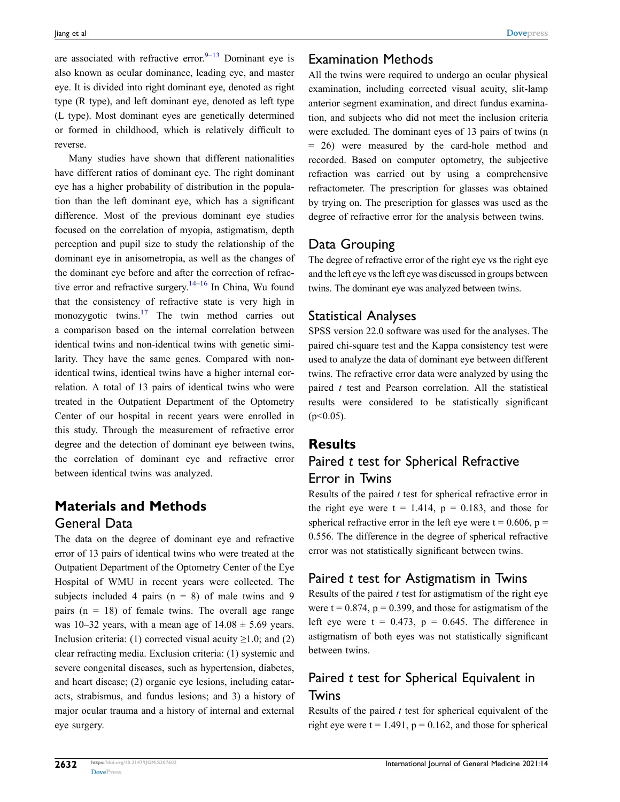<span id="page-1-0"></span>are associated with refractive error. $9-13$  Dominant eye is also known as ocular dominance, leading eye, and master eye. It is divided into right dominant eye, denoted as right type (R type), and left dominant eye, denoted as left type (L type). Most dominant eyes are genetically determined or formed in childhood, which is relatively difficult to reverse.

<span id="page-1-2"></span><span id="page-1-1"></span>Many studies have shown that different nationalities have different ratios of dominant eye. The right dominant eye has a higher probability of distribution in the population than the left dominant eye, which has a significant difference. Most of the previous dominant eye studies focused on the correlation of myopia, astigmatism, depth perception and pupil size to study the relationship of the dominant eye in anisometropia, as well as the changes of the dominant eye before and after the correction of refractive error and refractive surgery.<sup>14–16</sup> In China, Wu found that the consistency of refractive state is very high in monozygotic twins.<sup>[17](#page-4-1)</sup> The twin method carries out a comparison based on the internal correlation between identical twins and non-identical twins with genetic similarity. They have the same genes. Compared with nonidentical twins, identical twins have a higher internal correlation. A total of 13 pairs of identical twins who were treated in the Outpatient Department of the Optometry Center of our hospital in recent years were enrolled in this study. Through the measurement of refractive error degree and the detection of dominant eye between twins, the correlation of dominant eye and refractive error between identical twins was analyzed.

# **Materials and Methods** General Data

The data on the degree of dominant eye and refractive error of 13 pairs of identical twins who were treated at the Outpatient Department of the Optometry Center of the Eye Hospital of WMU in recent years were collected. The subjects included 4 pairs  $(n = 8)$  of male twins and 9 pairs  $(n = 18)$  of female twins. The overall age range was 10–32 years, with a mean age of  $14.08 \pm 5.69$  years. Inclusion criteria: (1) corrected visual acuity  $\geq$ 1.0; and (2) clear refracting media. Exclusion criteria: (1) systemic and severe congenital diseases, such as hypertension, diabetes, and heart disease; (2) organic eye lesions, including cataracts, strabismus, and fundus lesions; and 3) a history of major ocular trauma and a history of internal and external eye surgery.

#### Examination Methods

All the twins were required to undergo an ocular physical examination, including corrected visual acuity, slit-lamp anterior segment examination, and direct fundus examination, and subjects who did not meet the inclusion criteria were excluded. The dominant eyes of 13 pairs of twins (n = 26) were measured by the card-hole method and recorded. Based on computer optometry, the subjective refraction was carried out by using a comprehensive refractometer. The prescription for glasses was obtained by trying on. The prescription for glasses was used as the degree of refractive error for the analysis between twins.

#### Data Grouping

The degree of refractive error of the right eye vs the right eye and the left eye vs the left eye was discussed in groups between twins. The dominant eye was analyzed between twins.

#### Statistical Analyses

SPSS version 22.0 software was used for the analyses. The paired chi-square test and the Kappa consistency test were used to analyze the data of dominant eye between different twins. The refractive error data were analyzed by using the paired *t* test and Pearson correlation. All the statistical results were considered to be statistically significant  $(p<0.05)$ .

#### **Results**

# Paired *t* test for Spherical Refractive Error in Twins

Results of the paired *t* test for spherical refractive error in the right eye were  $t = 1.414$ ,  $p = 0.183$ , and those for spherical refractive error in the left eye were  $t = 0.606$ ,  $p =$ 0.556. The difference in the degree of spherical refractive error was not statistically significant between twins.

# Paired *t* test for Astigmatism in Twins

Results of the paired *t* test for astigmatism of the right eye were  $t = 0.874$ ,  $p = 0.399$ , and those for astigmatism of the left eye were  $t = 0.473$ ,  $p = 0.645$ . The difference in astigmatism of both eyes was not statistically significant between twins.

# Paired *t* test for Spherical Equivalent in Twins

Results of the paired *t* test for spherical equivalent of the right eye were  $t = 1.491$ ,  $p = 0.162$ , and those for spherical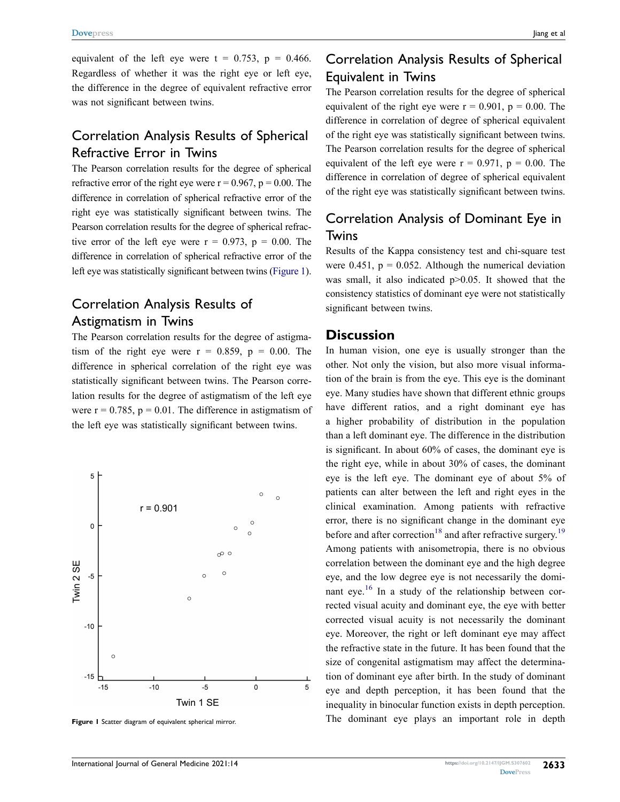equivalent of the left eye were  $t = 0.753$ ,  $p = 0.466$ . Regardless of whether it was the right eye or left eye, the difference in the degree of equivalent refractive error was not significant between twins.

# Correlation Analysis Results of Spherical Refractive Error in Twins

The Pearson correlation results for the degree of spherical refractive error of the right eye were  $r = 0.967$ ,  $p = 0.00$ . The difference in correlation of spherical refractive error of the right eye was statistically significant between twins. The Pearson correlation results for the degree of spherical refractive error of the left eye were  $r = 0.973$ ,  $p = 0.00$ . The difference in correlation of spherical refractive error of the left eye was statistically significant between twins [\(Figure 1](#page-2-0)).

### Correlation Analysis Results of Astigmatism in Twins

The Pearson correlation results for the degree of astigmatism of the right eye were  $r = 0.859$ ,  $p = 0.00$ . The difference in spherical correlation of the right eye was statistically significant between twins. The Pearson correlation results for the degree of astigmatism of the left eye were  $r = 0.785$ ,  $p = 0.01$ . The difference in astigmatism of the left eye was statistically significant between twins.

<span id="page-2-0"></span>

# Correlation Analysis Results of Spherical Equivalent in Twins

The Pearson correlation results for the degree of spherical equivalent of the right eye were  $r = 0.901$ ,  $p = 0.00$ . The difference in correlation of degree of spherical equivalent of the right eye was statistically significant between twins. The Pearson correlation results for the degree of spherical equivalent of the left eye were  $r = 0.971$ ,  $p = 0.00$ . The difference in correlation of degree of spherical equivalent of the right eye was statistically significant between twins.

# Correlation Analysis of Dominant Eye in **Twins**

Results of the Kappa consistency test and chi-square test were 0.451,  $p = 0.052$ . Although the numerical deviation was small, it also indicated p>0.05. It showed that the consistency statistics of dominant eye were not statistically significant between twins.

#### <span id="page-2-2"></span><span id="page-2-1"></span>**Discussion**

In human vision, one eye is usually stronger than the other. Not only the vision, but also more visual information of the brain is from the eye. This eye is the dominant eye. Many studies have shown that different ethnic groups have different ratios, and a right dominant eye has a higher probability of distribution in the population than a left dominant eye. The difference in the distribution is significant. In about 60% of cases, the dominant eye is the right eye, while in about 30% of cases, the dominant eye is the left eye. The dominant eye of about 5% of patients can alter between the left and right eyes in the clinical examination. Among patients with refractive error, there is no significant change in the dominant eye before and after correction<sup>18</sup> and after refractive surgery.<sup>[19](#page-4-3)</sup> Among patients with anisometropia, there is no obvious correlation between the dominant eye and the high degree eye, and the low degree eye is not necessarily the domi-nant eye.<sup>[16](#page-4-4)</sup> In a study of the relationship between corrected visual acuity and dominant eye, the eye with better corrected visual acuity is not necessarily the dominant eye. Moreover, the right or left dominant eye may affect the refractive state in the future. It has been found that the size of congenital astigmatism may affect the determination of dominant eye after birth. In the study of dominant eye and depth perception, it has been found that the inequality in binocular function exists in depth perception. Figure I Scatter diagram of equivalent spherical mirror.<br>
The dominant eye plays an important role in depth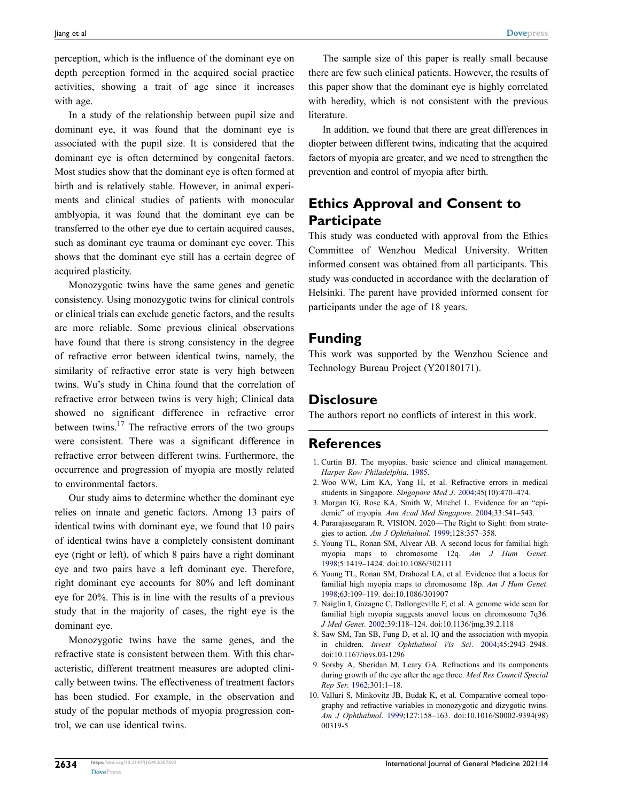perception, which is the influence of the dominant eye on depth perception formed in the acquired social practice activities, showing a trait of age since it increases with age.

In a study of the relationship between pupil size and dominant eye, it was found that the dominant eye is associated with the pupil size. It is considered that the dominant eye is often determined by congenital factors. Most studies show that the dominant eye is often formed at birth and is relatively stable. However, in animal experiments and clinical studies of patients with monocular amblyopia, it was found that the dominant eye can be transferred to the other eye due to certain acquired causes, such as dominant eye trauma or dominant eye cover. This shows that the dominant eye still has a certain degree of acquired plasticity.

Monozygotic twins have the same genes and genetic consistency. Using monozygotic twins for clinical controls or clinical trials can exclude genetic factors, and the results are more reliable. Some previous clinical observations have found that there is strong consistency in the degree of refractive error between identical twins, namely, the similarity of refractive error state is very high between twins. Wu's study in China found that the correlation of refractive error between twins is very high; Clinical data showed no significant difference in refractive error between twins.<sup>17</sup> The refractive errors of the two groups were consistent. There was a significant difference in refractive error between different twins. Furthermore, the occurrence and progression of myopia are mostly related to environmental factors.

Our study aims to determine whether the dominant eye relies on innate and genetic factors. Among 13 pairs of identical twins with dominant eye, we found that 10 pairs of identical twins have a completely consistent dominant eye (right or left), of which 8 pairs have a right dominant eye and two pairs have a left dominant eye. Therefore, right dominant eye accounts for 80% and left dominant eye for 20%. This is in line with the results of a previous study that in the majority of cases, the right eye is the dominant eye.

Monozygotic twins have the same genes, and the refractive state is consistent between them. With this characteristic, different treatment measures are adopted clinically between twins. The effectiveness of treatment factors has been studied. For example, in the observation and study of the popular methods of myopia progression control, we can use identical twins.

The sample size of this paper is really small because there are few such clinical patients. However, the results of this paper show that the dominant eye is highly correlated with heredity, which is not consistent with the previous literature.

In addition, we found that there are great differences in diopter between different twins, indicating that the acquired factors of myopia are greater, and we need to strengthen the prevention and control of myopia after birth.

# **Ethics Approval and Consent to Participate**

This study was conducted with approval from the Ethics Committee of Wenzhou Medical University. Written informed consent was obtained from all participants. This study was conducted in accordance with the declaration of Helsinki. The parent have provided informed consent for participants under the age of 18 years.

#### **Funding**

This work was supported by the Wenzhou Science and Technology Bureau Project (Y20180171).

#### **Disclosure**

The authors report no conflicts of interest in this work.

#### **References**

- <span id="page-3-0"></span>1. Curtin BJ. The myopias. basic science and clinical management. *Harper Row Philadelphia*. [1985](#page-0-3).
- <span id="page-3-1"></span>2. Woo WW, Lim KA, Yang H, et al. Refractive errors in medical students in Singapore. *Singapore Med J*. [2004;](#page-0-4)45(10):470–474.
- <span id="page-3-2"></span>3. Morgan IG, Rose KA, Smith W, Mitchel L. Evidence for an "epidemic" of myopia. *Ann Acad Med Singapore*. [2004;](#page-0-4)33:541–543.
- <span id="page-3-3"></span>4. Pararajasegaram R. VISION. 2020—The Right to Sight: from strategies to action. *Am J Ophthalmol*. [1999](#page-0-5);128:357–358.
- <span id="page-3-4"></span>5. Young TL, Ronan SM, Alvear AB. A second locus for familial high myopia maps to chromosome 12q. *Am J Hum Genet*. [1998](#page-0-6);5:1419–1424. doi:[10.1086/302111](https://doi.org/10.1086/302111)
- 6. Young TL, Ronan SM, Drahozal LA, et al. Evidence that a locus for familial high myopia maps to chromosome 18p. *Am J Hum Genet*. 1998;63:109–119. doi:[10.1086/301907](https://doi.org/10.1086/301907)
- 7. Naiglin I, Gazagne C, Dallongeville F, et al. A genome wide scan for familial high myopia suggests anovel locus on chromosome 7q36. *J Med Genet*. 2002;39:118–124. doi:[10.1136/jmg.39.2.118](https://doi.org/10.1136/jmg.39.2.118)
- <span id="page-3-5"></span>8. Saw SM, Tan SB, Fung D, et al. IQ and the association with myopia in children. *Invest Ophthalmol Vis Sci*. [2004;](#page-0-7)45:2943–2948. doi:[10.1167/iovs.03-1296](https://doi.org/10.1167/iovs.03-1296)
- <span id="page-3-6"></span>9. Sorsby A, Sheridan M, Leary GA. Refractions and its components during growth of the eye after the age three. *Med Res Council Special Rep Ser*. [1962](#page-1-0);301:1–18.
- 10. Valluri S, Minkovitz JB, Budak K, et al. Comparative corneal topography and refractive variables in monozygotic and dizygotic twins. *Am J Ophthalmol*. 1999;127:158–163. doi:[10.1016/S0002-9394\(98\)](https://doi.org/10.1016/S0002-9394(98)00319-5) [00319-5](https://doi.org/10.1016/S0002-9394(98)00319-5)